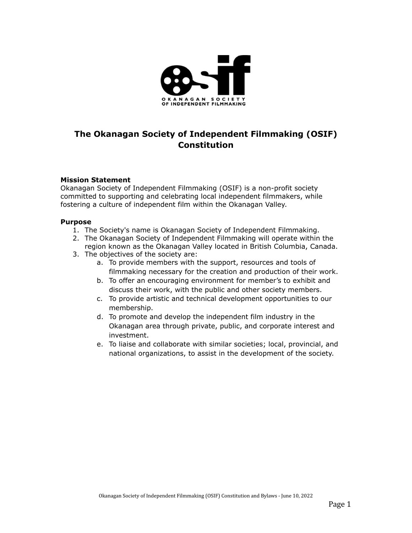

# **The Okanagan Society of Independent Filmmaking (OSIF) Constitution**

#### **Mission Statement**

Okanagan Society of Independent Filmmaking (OSIF) is a non-profit society committed to supporting and celebrating local independent filmmakers, while fostering a culture of independent film within the Okanagan Valley.

#### **Purpose**

- 1. The Society's name is Okanagan Society of Independent Filmmaking.
- 2. The Okanagan Society of Independent Filmmaking will operate within the region known as the Okanagan Valley located in British Columbia, Canada.
- 3. The objectives of the society are:
	- a. To provide members with the support, resources and tools of filmmaking necessary for the creation and production of their work.
	- b. To offer an encouraging environment for member's to exhibit and discuss their work, with the public and other society members.
	- c. To provide artistic and technical development opportunities to our membership.
	- d. To promote and develop the independent film industry in the Okanagan area through private, public, and corporate interest and investment.
	- e. To liaise and collaborate with similar societies; local, provincial, and national organizations, to assist in the development of the society.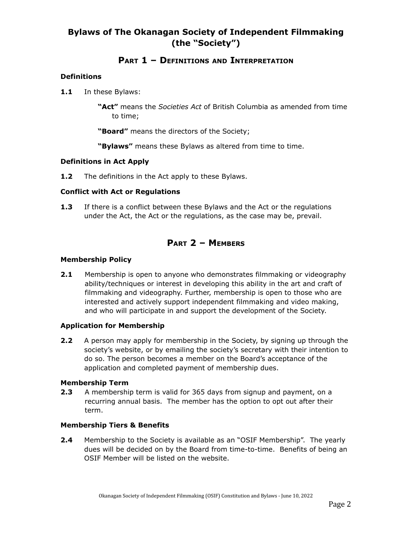# **Bylaws of The Okanagan Society of Independent Filmmaking (the "Society")**

# **PART 1 – DEFINITIONS AND INTERPRETATION**

## **Definitions**

**1.1** In these Bylaws:

**"Act"** means the *Societies Act* of British Columbia as amended from time to time;

**"Board"** means the directors of the Society;

**"Bylaws"** means these Bylaws as altered from time to time.

#### **Definitions in Act Apply**

**1.2** The definitions in the Act apply to these Bylaws.

#### **Conflict with Act or Regulations**

**1.3** If there is a conflict between these Bylaws and the Act or the regulations under the Act, the Act or the regulations, as the case may be, prevail.

# **PART 2 – MEMBERS**

## **Membership Policy**

**2.1** Membership is open to anyone who demonstrates filmmaking or videography ability/techniques or interest in developing this ability in the art and craft of filmmaking and videography. Further, membership is open to those who are interested and actively support independent filmmaking and video making, and who will participate in and support the development of the Society.

## **Application for Membership**

**2.2** A person may apply for membership in the Society, by signing up through the society's website, or by emailing the society's secretary with their intention to do so. The person becomes a member on the Board's acceptance of the application and completed payment of membership dues.

#### **Membership Term**

**2.3** A membership term is valid for 365 days from signup and payment, on a recurring annual basis. The member has the option to opt out after their term.

## **Membership Tiers & Benefits**

**2.4** Membership to the Society is available as an "OSIF Membership". The yearly dues will be decided on by the Board from time-to-time. Benefits of being an OSIF Member will be listed on the website.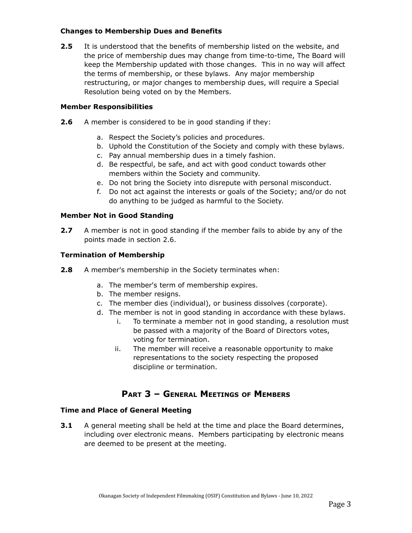## **Changes to Membership Dues and Benefits**

**2.5** It is understood that the benefits of membership listed on the website, and the price of membership dues may change from time-to-time, The Board will keep the Membership updated with those changes. This in no way will affect the terms of membership, or these bylaws. Any major membership restructuring, or major changes to membership dues, will require a Special Resolution being voted on by the Members.

## **Member Responsibilities**

- **2.6** A member is considered to be in good standing if they:
	- a. Respect the Society's policies and procedures.
	- b. Uphold the Constitution of the Society and comply with these bylaws.
	- c. Pay annual membership dues in a timely fashion.
	- d. Be respectful, be safe, and act with good conduct towards other members within the Society and community.
	- e. Do not bring the Society into disrepute with personal misconduct.
	- f. Do not act against the interests or goals of the Society; and/or do not do anything to be judged as harmful to the Society.

## **Member Not in Good Standing**

**2.7** A member is not in good standing if the member fails to abide by any of the points made in section 2.6.

## **Termination of Membership**

- **2.8** A member's membership in the Society terminates when:
	- a. The member's term of membership expires.
	- b. The member resigns.
	- c. The member dies (individual), or business dissolves (corporate).
	- d. The member is not in good standing in accordance with these bylaws.
		- i. To terminate a member not in good standing, a resolution must be passed with a majority of the Board of Directors votes, voting for termination.
		- ii. The member will receive a reasonable opportunity to make representations to the society respecting the proposed discipline or termination.

# **PART 3 – GENERAL MEETINGS OF MEMBERS**

## **Time and Place of General Meeting**

**3.1** A general meeting shall be held at the time and place the Board determines, including over electronic means. Members participating by electronic means are deemed to be present at the meeting.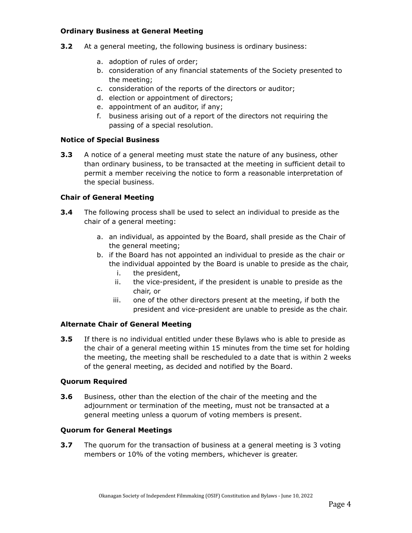## **Ordinary Business at General Meeting**

- **3.2** At a general meeting, the following business is ordinary business:
	- a. adoption of rules of order;
	- b. consideration of any financial statements of the Society presented to the meeting;
	- c. consideration of the reports of the directors or auditor;
	- d. election or appointment of directors;
	- e. appointment of an auditor, if any;
	- f. business arising out of a report of the directors not requiring the passing of a special resolution.

#### **Notice of Special Business**

**3.3** A notice of a general meeting must state the nature of any business, other than ordinary business, to be transacted at the meeting in sufficient detail to permit a member receiving the notice to form a reasonable interpretation of the special business.

## **Chair of General Meeting**

- **3.4** The following process shall be used to select an individual to preside as the chair of a general meeting:
	- a. an individual, as appointed by the Board, shall preside as the Chair of the general meeting;
	- b. if the Board has not appointed an individual to preside as the chair or the individual appointed by the Board is unable to preside as the chair,
		- i. the president,
		- ii. the vice-president, if the president is unable to preside as the chair, or
		- iii. one of the other directors present at the meeting, if both the president and vice-president are unable to preside as the chair.

## **Alternate Chair of General Meeting**

**3.5** If there is no individual entitled under these Bylaws who is able to preside as the chair of a general meeting within 15 minutes from the time set for holding the meeting, the meeting shall be rescheduled to a date that is within 2 weeks of the general meeting, as decided and notified by the Board.

#### **Quorum Required**

**3.6** Business, other than the election of the chair of the meeting and the adjournment or termination of the meeting, must not be transacted at a general meeting unless a quorum of voting members is present.

#### **Quorum for General Meetings**

**3.7** The quorum for the transaction of business at a general meeting is 3 voting members or 10% of the voting members, whichever is greater.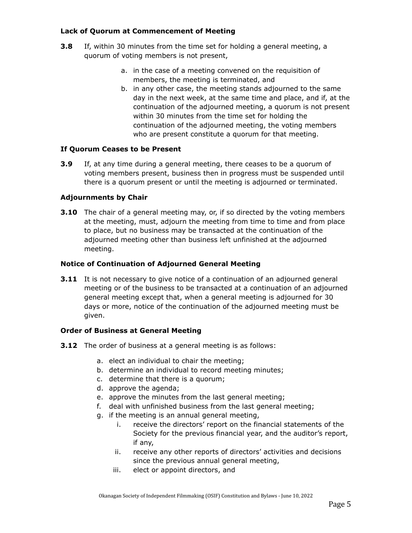## **Lack of Quorum at Commencement of Meeting**

- **3.8** If, within 30 minutes from the time set for holding a general meeting, a quorum of voting members is not present,
	- a. in the case of a meeting convened on the requisition of members, the meeting is terminated, and
	- b. in any other case, the meeting stands adjourned to the same day in the next week, at the same time and place, and if, at the continuation of the adjourned meeting, a quorum is not present within 30 minutes from the time set for holding the continuation of the adjourned meeting, the voting members who are present constitute a quorum for that meeting.

#### **If Quorum Ceases to be Present**

**3.9** If, at any time during a general meeting, there ceases to be a quorum of voting members present, business then in progress must be suspended until there is a quorum present or until the meeting is adjourned or terminated.

#### **Adjournments by Chair**

**3.10** The chair of a general meeting may, or, if so directed by the voting members at the meeting, must, adjourn the meeting from time to time and from place to place, but no business may be transacted at the continuation of the adjourned meeting other than business left unfinished at the adjourned meeting.

#### **Notice of Continuation of Adjourned General Meeting**

**3.11** It is not necessary to give notice of a continuation of an adjourned general meeting or of the business to be transacted at a continuation of an adjourned general meeting except that, when a general meeting is adjourned for 30 days or more, notice of the continuation of the adjourned meeting must be given.

#### **Order of Business at General Meeting**

- **3.12** The order of business at a general meeting is as follows:
	- a. elect an individual to chair the meeting;
	- b. determine an individual to record meeting minutes;
	- c. determine that there is a quorum;
	- d. approve the agenda;
	- e. approve the minutes from the last general meeting;
	- f. deal with unfinished business from the last general meeting;
	- g. if the meeting is an annual general meeting,
		- i. receive the directors' report on the financial statements of the Society for the previous financial year, and the auditor's report, if any,
		- ii. receive any other reports of directors' activities and decisions since the previous annual general meeting,
		- iii. elect or appoint directors, and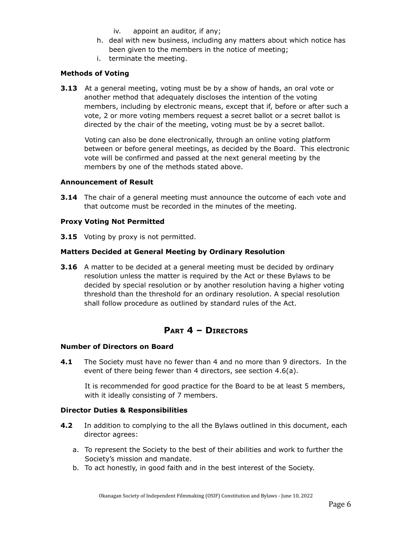- iv. appoint an auditor, if any;
- h. deal with new business, including any matters about which notice has been given to the members in the notice of meeting;
- i. terminate the meeting.

#### **Methods of Voting**

**3.13** At a general meeting, voting must be by a show of hands, an oral vote or another method that adequately discloses the intention of the voting members, including by electronic means, except that if, before or after such a vote, 2 or more voting members request a secret ballot or a secret ballot is directed by the chair of the meeting, voting must be by a secret ballot.

Voting can also be done electronically, through an online voting platform between or before general meetings, as decided by the Board. This electronic vote will be confirmed and passed at the next general meeting by the members by one of the methods stated above.

#### **Announcement of Result**

**3.14** The chair of a general meeting must announce the outcome of each vote and that outcome must be recorded in the minutes of the meeting.

#### **Proxy Voting Not Permitted**

**3.15** Voting by proxy is not permitted.

#### **Matters Decided at General Meeting by Ordinary Resolution**

**3.16** A matter to be decided at a general meeting must be decided by ordinary resolution unless the matter is required by the Act or these Bylaws to be decided by special resolution or by another resolution having a higher voting threshold than the threshold for an ordinary resolution. A special resolution shall follow procedure as outlined by standard rules of the Act.

## **PART 4 – DIRECTORS**

#### **Number of Directors on Board**

**4.1** The Society must have no fewer than 4 and no more than 9 directors. In the event of there being fewer than 4 directors, see section 4.6(a).

It is recommended for good practice for the Board to be at least 5 members, with it ideally consisting of 7 members.

#### **Director Duties & Responsibilities**

- **4.2** In addition to complying to the all the Bylaws outlined in this document, each director agrees:
	- a. To represent the Society to the best of their abilities and work to further the Society's mission and mandate.
	- b. To act honestly, in good faith and in the best interest of the Society.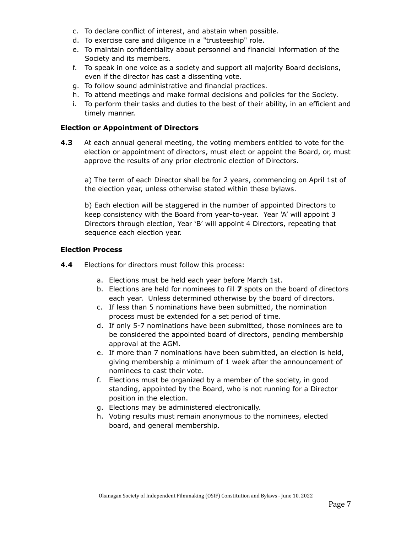- c. To declare conflict of interest, and abstain when possible.
- d. To exercise care and diligence in a "trusteeship" role.
- e. To maintain confidentiality about personnel and financial information of the Society and its members.
- f. To speak in one voice as a society and support all majority Board decisions, even if the director has cast a dissenting vote.
- g. To follow sound administrative and financial practices.
- h. To attend meetings and make formal decisions and policies for the Society.
- i. To perform their tasks and duties to the best of their ability, in an efficient and timely manner.

#### **Election or Appointment of Directors**

**4.3** At each annual general meeting, the voting members entitled to vote for the election or appointment of directors, must elect or appoint the Board, or, must approve the results of any prior electronic election of Directors.

a) The term of each Director shall be for 2 years, commencing on April 1st of the election year, unless otherwise stated within these bylaws.

b) Each election will be staggered in the number of appointed Directors to keep consistency with the Board from year-to-year. Year 'A' will appoint 3 Directors through election, Year 'B' will appoint 4 Directors, repeating that sequence each election year.

#### **Election Process**

- **4.4** Elections for directors must follow this process:
	- a. Elections must be held each year before March 1st.
	- b. Elections are held for nominees to fill **7** spots on the board of directors each year. Unless determined otherwise by the board of directors.
	- c. If less than 5 nominations have been submitted, the nomination process must be extended for a set period of time.
	- d. If only 5-7 nominations have been submitted, those nominees are to be considered the appointed board of directors, pending membership approval at the AGM.
	- e. If more than 7 nominations have been submitted, an election is held, giving membership a minimum of 1 week after the announcement of nominees to cast their vote.
	- f. Elections must be organized by a member of the society, in good standing, appointed by the Board, who is not running for a Director position in the election.
	- g. Elections may be administered electronically.
	- h. Voting results must remain anonymous to the nominees, elected board, and general membership.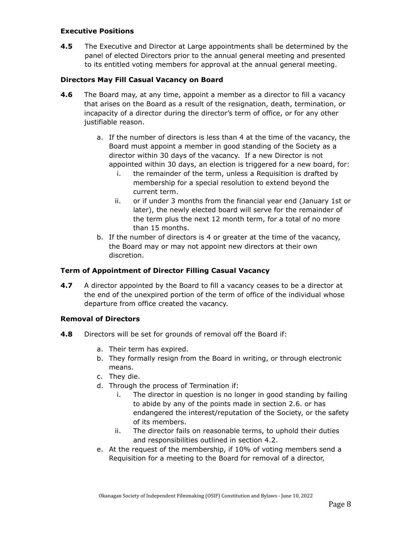#### **Executive Positions**

**4.5** The Executive and Director at Large appointments shall be determined by the panel of elected Directors prior to the annual general meeting and presented to its entitled voting members for approval at the annual general meeting.

#### **Directors May Fill Casual Vacancy on Board**

- **4.6** The Board may, at any time, appoint a member as a director to fill a vacancy that arises on the Board as a result of the resignation, death, termination, or incapacity of a director during the director's term of office, or for any other justifiable reason.
	- a. If the number of directors is less than 4 at the time of the vacancy, the Board must appoint a member in good standing of the Society as a director within 30 days of the vacancy. If a new Director is not appointed within 30 days, an election is triggered for a new board, for:
		- i. the remainder of the term, unless a Requisition is drafted by membership for a special resolution to extend beyond the current term.
		- ii. or if under 3 months from the financial year end (January 1st or later), the newly elected board will serve for the remainder of the term plus the next 12 month term, for a total of no more than 15 months.
	- b. If the number of directors is 4 or greater at the time of the vacancy, the Board may or may not appoint new directors at their own discretion.

#### **Term of Appointment of Director Filling Casual Vacancy**

**4.7** A director appointed by the Board to fill a vacancy ceases to be a director at the end of the unexpired portion of the term of office of the individual whose departure from office created the vacancy.

#### **Removal of Directors**

- **4.8** Directors will be set for grounds of removal off the Board if:
	- a. Their term has expired.
	- b. They formally resign from the Board in writing, or through electronic means.
	- c. They die.
	- d. Through the process of Termination if:
		- i. The director in question is no longer in good standing by failing to abide by any of the points made in section 2.6. or has endangered the interest/reputation of the Society, or the safety of its members.
		- ii. The director fails on reasonable terms, to uphold their duties and responsibilities outlined in section 4.2.
	- e. At the request of the membership, if 10% of voting members send a Requisition for a meeting to the Board for removal of a director,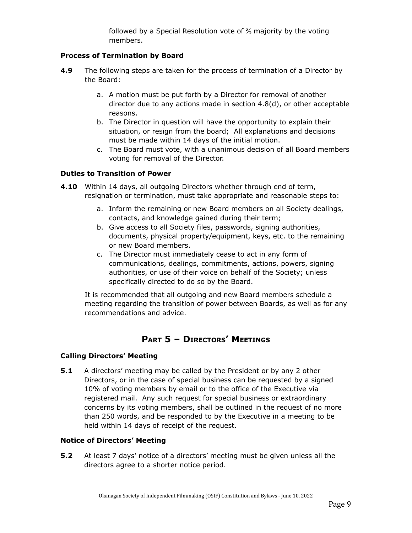followed by a Special Resolution vote of ⅔ majority by the voting members.

## **Process of Termination by Board**

- **4.9** The following steps are taken for the process of termination of a Director by the Board:
	- a. A motion must be put forth by a Director for removal of another director due to any actions made in section 4.8(d), or other acceptable reasons.
	- b. The Director in question will have the opportunity to explain their situation, or resign from the board; All explanations and decisions must be made within 14 days of the initial motion.
	- c. The Board must vote, with a unanimous decision of all Board members voting for removal of the Director.

#### **Duties to Transition of Power**

- **4.10** Within 14 days, all outgoing Directors whether through end of term, resignation or termination, must take appropriate and reasonable steps to:
	- a. Inform the remaining or new Board members on all Society dealings, contacts, and knowledge gained during their term;
	- b. Give access to all Society files, passwords, signing authorities, documents, physical property/equipment, keys, etc. to the remaining or new Board members.
	- c. The Director must immediately cease to act in any form of communications, dealings, commitments, actions, powers, signing authorities, or use of their voice on behalf of the Society; unless specifically directed to do so by the Board.

It is recommended that all outgoing and new Board members schedule a meeting regarding the transition of power between Boards, as well as for any recommendations and advice.

# **PART 5 – DIRECTORS' MEETINGS**

#### **Calling Directors' Meeting**

**5.1** A directors' meeting may be called by the President or by any 2 other Directors, or in the case of special business can be requested by a signed 10% of voting members by email or to the office of the Executive via registered mail. Any such request for special business or extraordinary concerns by its voting members, shall be outlined in the request of no more than 250 words, and be responded to by the Executive in a meeting to be held within 14 days of receipt of the request.

#### **Notice of Directors' Meeting**

**5.2** At least 7 days' notice of a directors' meeting must be given unless all the directors agree to a shorter notice period.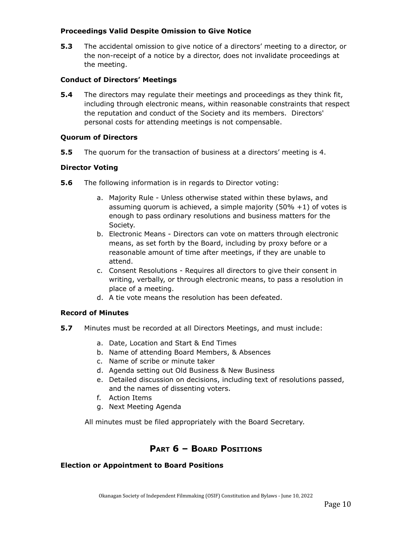#### **Proceedings Valid Despite Omission to Give Notice**

**5.3** The accidental omission to give notice of a directors' meeting to a director, or the non-receipt of a notice by a director, does not invalidate proceedings at the meeting.

#### **Conduct of Directors' Meetings**

**5.4** The directors may regulate their meetings and proceedings as they think fit, including through electronic means, within reasonable constraints that respect the reputation and conduct of the Society and its members. Directors' personal costs for attending meetings is not compensable.

#### **Quorum of Directors**

**5.5** The quorum for the transaction of business at a directors' meeting is 4.

#### **Director Voting**

- **5.6** The following information is in regards to Director voting:
	- a. Majority Rule Unless otherwise stated within these bylaws, and assuming quorum is achieved, a simple majority  $(50\% + 1)$  of votes is enough to pass ordinary resolutions and business matters for the Society.
	- b. Electronic Means Directors can vote on matters through electronic means, as set forth by the Board, including by proxy before or a reasonable amount of time after meetings, if they are unable to attend.
	- c. Consent Resolutions Requires all directors to give their consent in writing, verbally, or through electronic means, to pass a resolution in place of a meeting.
	- d. A tie vote means the resolution has been defeated.

## **Record of Minutes**

- **5.7** Minutes must be recorded at all Directors Meetings, and must include:
	- a. Date, Location and Start & End Times
	- b. Name of attending Board Members, & Absences
	- c. Name of scribe or minute taker
	- d. Agenda setting out Old Business & New Business
	- e. Detailed discussion on decisions, including text of resolutions passed, and the names of dissenting voters.
	- f. Action Items
	- g. Next Meeting Agenda

All minutes must be filed appropriately with the Board Secretary.

## **PART 6 – BOARD POSITIONS**

#### **Election or Appointment to Board Positions**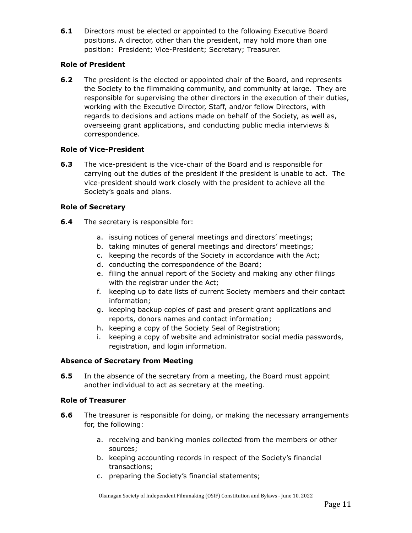**6.1** Directors must be elected or appointed to the following Executive Board positions. A director, other than the president, may hold more than one position: President; Vice-President; Secretary; Treasurer.

## **Role of President**

**6.2** The president is the elected or appointed chair of the Board, and represents the Society to the filmmaking community, and community at large. They are responsible for supervising the other directors in the execution of their duties, working with the Executive Director, Staff, and/or fellow Directors, with regards to decisions and actions made on behalf of the Society, as well as, overseeing grant applications, and conducting public media interviews & correspondence.

## **Role of Vice-President**

**6.3** The vice-president is the vice-chair of the Board and is responsible for carrying out the duties of the president if the president is unable to act. The vice-president should work closely with the president to achieve all the Society's goals and plans.

## **Role of Secretary**

- **6.4** The secretary is responsible for:
	- a. issuing notices of general meetings and directors' meetings;
	- b. taking minutes of general meetings and directors' meetings;
	- c. keeping the records of the Society in accordance with the Act;
	- d. conducting the correspondence of the Board;
	- e. filing the annual report of the Society and making any other filings with the registrar under the Act;
	- f. keeping up to date lists of current Society members and their contact information;
	- g. keeping backup copies of past and present grant applications and reports, donors names and contact information;
	- h. keeping a copy of the Society Seal of Registration;
	- i. keeping a copy of website and administrator social media passwords, registration, and login information.

## **Absence of Secretary from Meeting**

**6.5** In the absence of the secretary from a meeting, the Board must appoint another individual to act as secretary at the meeting.

## **Role of Treasurer**

- **6.6** The treasurer is responsible for doing, or making the necessary arrangements for, the following:
	- a. receiving and banking monies collected from the members or other sources;
	- b. keeping accounting records in respect of the Society's financial transactions;
	- c. preparing the Society's financial statements;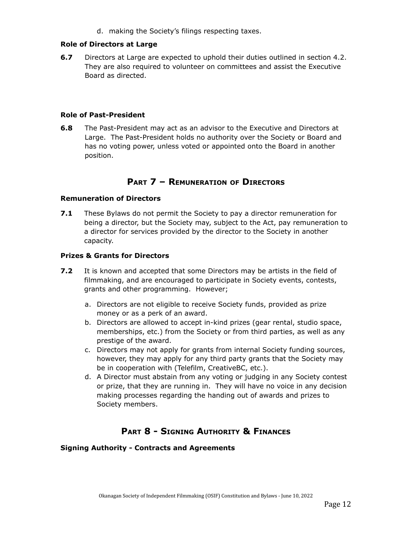d. making the Society's filings respecting taxes.

#### **Role of Directors at Large**

**6.7** Directors at Large are expected to uphold their duties outlined in section 4.2. They are also required to volunteer on committees and assist the Executive Board as directed.

#### **Role of Past-President**

**6.8** The Past-President may act as an advisor to the Executive and Directors at Large. The Past-President holds no authority over the Society or Board and has no voting power, unless voted or appointed onto the Board in another position.

# **PART 7 – REMUNERATION OF DIRECTORS**

## **Remuneration of Directors**

**7.1** These Bylaws do not permit the Society to pay a director remuneration for being a director, but the Society may, subject to the Act, pay remuneration to a director for services provided by the director to the Society in another capacity.

#### **Prizes & Grants for Directors**

- **7.2** It is known and accepted that some Directors may be artists in the field of filmmaking, and are encouraged to participate in Society events, contests, grants and other programming. However;
	- a. Directors are not eligible to receive Society funds, provided as prize money or as a perk of an award.
	- b. Directors are allowed to accept in-kind prizes (gear rental, studio space, memberships, etc.) from the Society or from third parties, as well as any prestige of the award.
	- c. Directors may not apply for grants from internal Society funding sources, however, they may apply for any third party grants that the Society may be in cooperation with (Telefilm, CreativeBC, etc.).
	- d. A Director must abstain from any voting or judging in any Society contest or prize, that they are running in. They will have no voice in any decision making processes regarding the handing out of awards and prizes to Society members.

# **PART 8 - SIGNING AUTHORITY & FINANCES**

#### **Signing Authority - Contracts and Agreements**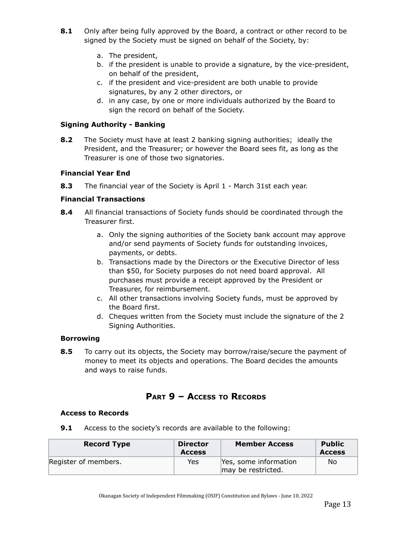- **8.1** Only after being fully approved by the Board, a contract or other record to be signed by the Society must be signed on behalf of the Society, by:
	- a. The president,
	- b. if the president is unable to provide a signature, by the vice-president, on behalf of the president,
	- c. if the president and vice-president are both unable to provide signatures, by any 2 other directors, or
	- d. in any case, by one or more individuals authorized by the Board to sign the record on behalf of the Society.

## **Signing Authority - Banking**

**8.2** The Society must have at least 2 banking signing authorities; ideally the President, and the Treasurer; or however the Board sees fit, as long as the Treasurer is one of those two signatories.

## **Financial Year End**

**8.3** The financial year of the Society is April 1 - March 31st each year.

## **Financial Transactions**

- **8.4** All financial transactions of Society funds should be coordinated through the Treasurer first.
	- a. Only the signing authorities of the Society bank account may approve and/or send payments of Society funds for outstanding invoices, payments, or debts.
	- b. Transactions made by the Directors or the Executive Director of less than \$50, for Society purposes do not need board approval. All purchases must provide a receipt approved by the President or Treasurer, for reimbursement.
	- c. All other transactions involving Society funds, must be approved by the Board first.
	- d. Cheques written from the Society must include the signature of the 2 Signing Authorities.

## **Borrowing**

**8.5** To carry out its objects, the Society may borrow/raise/secure the payment of money to meet its objects and operations. The Board decides the amounts and ways to raise funds.

# **PART 9 – ACCESS TO RECORDS**

## **Access to Records**

**9.1** Access to the society's records are available to the following:

| <b>Record Type</b>   | <b>Director</b><br><b>Access</b> | <b>Member Access</b>                        | Public<br><b>Access</b> |
|----------------------|----------------------------------|---------------------------------------------|-------------------------|
| Register of members. | Yes                              | Yes, some information<br>may be restricted. | No                      |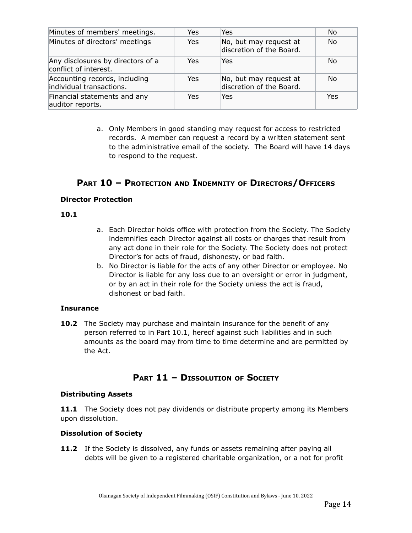| Minutes of members' meetings.                              | Yes | Yes                                                | No         |
|------------------------------------------------------------|-----|----------------------------------------------------|------------|
| Minutes of directors' meetings                             | Yes | No, but may request at<br>discretion of the Board. | No         |
| Any disclosures by directors of a<br>conflict of interest. | Yes | Yes                                                | No         |
| Accounting records, including<br>individual transactions.  | Yes | No, but may request at<br>discretion of the Board. | No         |
| Financial statements and any<br>auditor reports.           | Yes | Yes                                                | <b>Yes</b> |

a. Only Members in good standing may request for access to restricted records. A member can request a record by a written statement sent to the administrative email of the society. The Board will have 14 days to respond to the request.

# **PART 10 – PROTECTION AND INDEMNITY OF DIRECTORS/OFFICERS**

#### **Director Protection**

#### **10.1**

- a. Each Director holds office with protection from the Society. The Society indemnifies each Director against all costs or charges that result from any act done in their role for the Society. The Society does not protect Director's for acts of fraud, dishonesty, or bad faith.
- b. No Director is liable for the acts of any other Director or employee. No Director is liable for any loss due to an oversight or error in judgment, or by an act in their role for the Society unless the act is fraud, dishonest or bad faith.

## **Insurance**

**10.2** The Society may purchase and maintain insurance for the benefit of any person referred to in Part 10.1, hereof against such liabilities and in such amounts as the board may from time to time determine and are permitted by the Act.

## **PART 11 – DISSOLUTION OF SOCIETY**

#### **Distributing Assets**

**11.1** The Society does not pay dividends or distribute property among its Members upon dissolution.

## **Dissolution of Society**

**11.2** If the Society is dissolved, any funds or assets remaining after paying all debts will be given to a registered charitable organization, or a not for profit